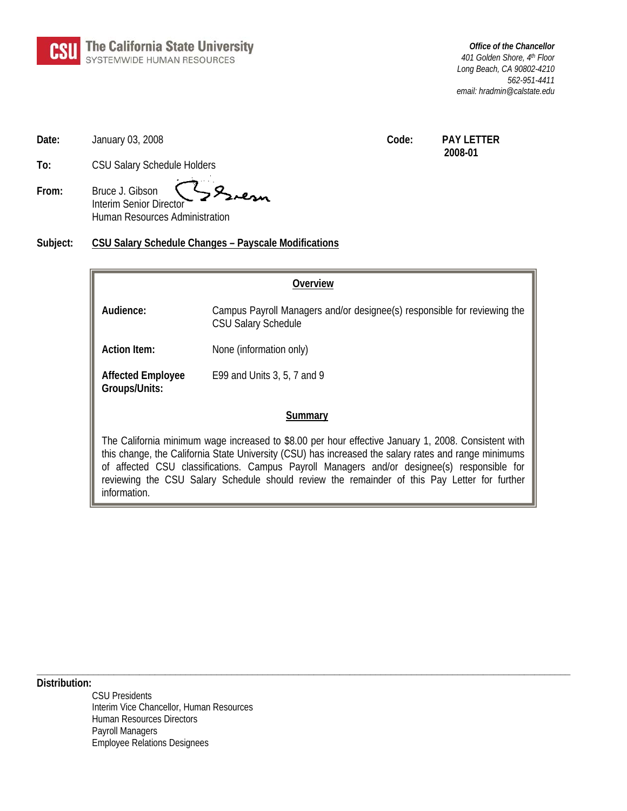

*Office of the Chancellor 401 Golden Shore, 4th Floor Long Beach, CA 90802-4210 562-951-4411 email: hradmin@calstate.edu* 

**Date:** January 03, 2008 **Code:** PAY LETTER

 **2008-01**

**To:** CSU Salary Schedule Holders

**From:** Bruce J. Gibson Interim Senior Director Human Resources Administration

**Subject: CSU Salary Schedule Changes – Payscale Modifications**

## **Overview**

**Audience:** Campus Payroll Managers and/or designee(s) responsible for reviewing the CSU Salary Schedule

Action Item: None (information only)

**Affected Employee** E99 and Units 3, 5, 7 and 9 **Groups/Units:**

## **Summary**

The California minimum wage increased to \$8.00 per hour effective January 1, 2008. Consistent with this change, the California State University (CSU) has increased the salary rates and range minimums of affected CSU classifications. Campus Payroll Managers and/or designee(s) responsible for reviewing the CSU Salary Schedule should review the remainder of this Pay Letter for further information.

**\_\_\_\_\_\_\_\_\_\_\_\_\_\_\_\_\_\_\_\_\_\_\_\_\_\_\_\_\_\_\_\_\_\_\_\_\_\_\_\_\_\_\_\_\_\_\_\_\_\_\_\_\_\_\_\_\_\_\_\_\_\_\_\_\_\_\_\_\_\_\_\_\_\_\_\_\_\_\_\_\_\_\_\_\_\_\_\_\_\_\_\_\_\_\_\_\_\_\_\_\_\_\_\_** 

**Distribution:** 

CSU Presidents Interim Vice Chancellor, Human Resources Human Resources Directors Payroll Managers Employee Relations Designees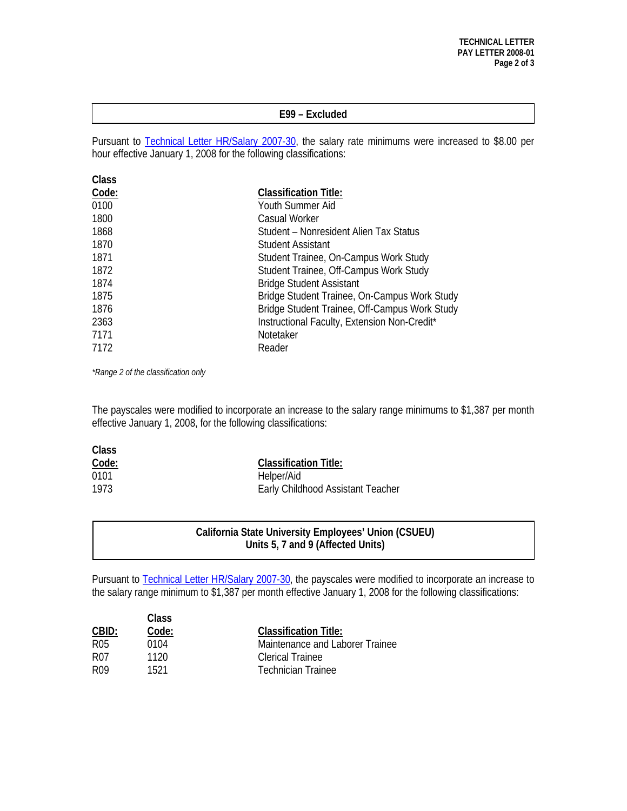#### **E99 – Excluded**

Pursuant to [Technical Letter HR/Salary 2007-30](http://www.calstate.edu/HRAdm/pdf2007/TL-SA2007-30.pdf), the salary rate minimums were increased to \$8.00 per hour effective January 1, 2008 for the following classifications:

| Class |                                               |
|-------|-----------------------------------------------|
| Code: | <b>Classification Title:</b>                  |
| 0100  | Youth Summer Aid                              |
| 1800  | <b>Casual Worker</b>                          |
| 1868  | Student – Nonresident Alien Tax Status        |
| 1870  | Student Assistant                             |
| 1871  | Student Trainee, On-Campus Work Study         |
| 1872  | Student Trainee, Off-Campus Work Study        |
| 1874  | <b>Bridge Student Assistant</b>               |
| 1875  | Bridge Student Trainee, On-Campus Work Study  |
| 1876  | Bridge Student Trainee, Off-Campus Work Study |
| 2363  | Instructional Faculty, Extension Non-Credit*  |
| 7171  | Notetaker                                     |
| 7172  | Reader                                        |

*\*Range 2 of the classification only* 

The payscales were modified to incorporate an increase to the salary range minimums to \$1,387 per month effective January 1, 2008, for the following classifications:

| Class |                                   |
|-------|-----------------------------------|
| Code: | <b>Classification Title:</b>      |
| 0101  | Helper/Aid                        |
| 1973  | Early Childhood Assistant Teacher |

### **California State University Employees' Union (CSUEU) Units 5, 7 and 9 (Affected Units)**

Pursuant to [Technical Letter HR/Salary 2007-30,](http://www.calstate.edu/HRAdm/pdf2007/TL-SA2007-30.pdf) the payscales were modified to incorporate an increase to the salary range minimum to \$1,387 per month effective January 1, 2008 for the following classifications:

| Class<br>CBID:<br>Code: |      |                                 |
|-------------------------|------|---------------------------------|
|                         |      | <b>Classification Title:</b>    |
| R05                     | 0104 | Maintenance and Laborer Trainee |
| R07                     | 1120 | Clerical Trainee                |
| R <sub>09</sub>         | 1521 | <b>Technician Trainee</b>       |